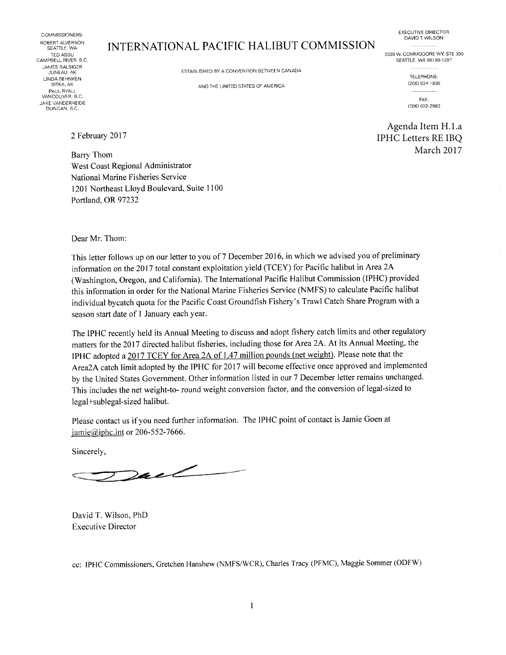COMMISSIONERS: ROBERT ALVERSON<br>SEATTLE, WA CAMPBELL RIVER, B.C. JAMES BALSIGER<br>JUNEAU, AK LINDA BEHNKEN TELEPHONE: SlTKA, AK AND THE UNITED STATES CF AMERICl. (2C6) 534-1336 PAUL FIYALL AND A CONTROL CONTROL INTERNATIONAL CONTROL CONTROL CONTROL CONTROL CONTROL CONTROL CONTROL CONTROL CONTROL CONTROL CONTROL CONTROL CONTROL CONTROL CONTROL CONTROL CONTROL CONTROL CONTROL CONTROL CONTROL CONTRO VANCOUVER, B.C. JAKE VANDERHEIDE DUNCAN. B.C.

# ERT ALVERSON INTERNATIONAL PACIFIC HALIBUT COMMISSION<br>TED ASSU

ESTABLISHED BY A CONVENTION BETWEEN CANADA

EXECUTIVE DIRECTOR DAVID T. WILSON

2320 W. COMMODORE WY, STE 300<br>SEATTLE, WA 98199-1287

FAX: (206) 632-2983

Agenda Item H.1.a IPHC Letters RE IBQ March 2017

2 February 2017

Barry Thom West Coast Regional Administrator National Marine Fisheries Service 1201 Northeast Lloyd Boulevard, Suite 1100 Portland, OR 97232

Dear Mr. Thom:

This letter follows up on our letter to you of 7 December 2016, in which we advised you of preliminary information on the 2017 total constant exploitation yield (TCEY) for Pacific halibut in Area 2A (Washington, Oregon, and California). The International Pacific Halibut Commission (IPHC) provided this information in order for the National Marine Fisheries Service (NMFS) to calculate Pacific halibut individual bycatch quota for the Pacific Coast Groundfish Fishery's Trawl Catch Share Program with a season start date of 1 January each year.

The IPHC recently held its Annual Meeting to discuss and adopt fishery catch limits and other regulatory matters for the 2017 directed halibut fisheries, including those for Area 2A. At its Annual Meeting, the IPHC adopted a 2017 TCEY for Area 2A of 1.47 million pounds (net weight). Please note that the Area2A catch limit adopted by the IPHC for 2017 will become effective once approved and implemented by the United States Government. Other information listed in our 7 December letter remains unchanged. This includes the net weight-to- round weight conversion factor, and the conversion of legal-sized to legal+sublegal-sized halibut.

Please contact us if you need further information. The 1PHC point of contact is Jamie Goen at jamie@iphc.int or 206-552-7666.

Sincerely,

 $2ac<$ 

David T. Wilson, PhD Executive Director

cc: IPHC Commissioners, Gretchen Hanshew (NMFS/WCR), Charles Tracy (PFMC), Maggie Sommer (ODFW)

 $\mathbf{1}$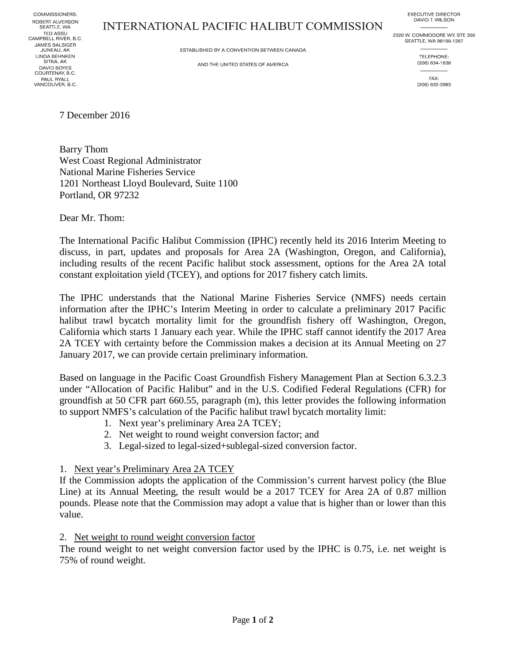COMMISSIONERS: ROBERT ALVERSON SEATTLE, WA **TED ASSU** CAMPBELL RIVER, B.C. JAMES BALSIGER JUNEAU, AK LINDA BEHNKEN<br>SITKA, AK DAVID BOYES COURTENAY, B.C. PAUL RYALL VANCOUVER, B.C.

## **INTERNATIONAL PACIFIC HALIBUT COMMISSION**

**EXECUTIVE DIRECTOR** DAVID T. WILSON 2320 W. COMMODORE WY, STE 300

ESTABLISHED BY A CONVENTION BETWEEN CANADA

AND THE UNITED STATES OF AMERICA

SEATTLE, WA 98199-1287 TELEPHONE: (206) 634-1838

> FAX: (206) 632-2983

7 December 2016

Barry Thom West Coast Regional Administrator National Marine Fisheries Service 1201 Northeast Lloyd Boulevard, Suite 1100 Portland, OR 97232

Dear Mr. Thom:

The International Pacific Halibut Commission (IPHC) recently held its 2016 Interim Meeting to discuss, in part, updates and proposals for Area 2A (Washington, Oregon, and California), including results of the recent Pacific halibut stock assessment, options for the Area 2A total constant exploitation yield (TCEY), and options for 2017 fishery catch limits.

The IPHC understands that the National Marine Fisheries Service (NMFS) needs certain information after the IPHC's Interim Meeting in order to calculate a preliminary 2017 Pacific halibut trawl bycatch mortality limit for the groundfish fishery off Washington, Oregon, California which starts 1 January each year. While the IPHC staff cannot identify the 2017 Area 2A TCEY with certainty before the Commission makes a decision at its Annual Meeting on 27 January 2017, we can provide certain preliminary information.

Based on language in the Pacific Coast Groundfish Fishery Management Plan at Section 6.3.2.3 under "Allocation of Pacific Halibut" and in the U.S. Codified Federal Regulations (CFR) for groundfish at 50 CFR part 660.55, paragraph (m), this letter provides the following information to support NMFS's calculation of the Pacific halibut trawl bycatch mortality limit:

- 1. Next year's preliminary Area 2A TCEY;
- 2. Net weight to round weight conversion factor; and
- 3. Legal-sized to legal-sized+sublegal-sized conversion factor.

#### 1. Next year's Preliminary Area 2A TCEY

If the Commission adopts the application of the Commission's current harvest policy (the Blue Line) at its Annual Meeting, the result would be a 2017 TCEY for Area 2A of 0.87 million pounds. Please note that the Commission may adopt a value that is higher than or lower than this value.

#### 2. Net weight to round weight conversion factor

The round weight to net weight conversion factor used by the IPHC is 0.75, i.e. net weight is 75% of round weight.